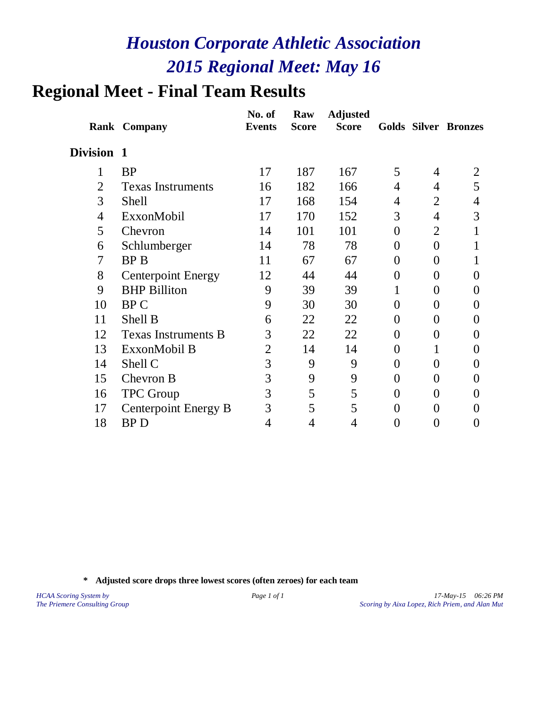# **Regional Meet - Final Team Results**

|                | <b>Rank Company</b>         | No. of<br><b>Events</b> | Raw<br><b>Score</b> | <b>Adjusted</b><br><b>Score</b> |                |                  | <b>Golds Silver Bronzes</b> |
|----------------|-----------------------------|-------------------------|---------------------|---------------------------------|----------------|------------------|-----------------------------|
| Division 1     |                             |                         |                     |                                 |                |                  |                             |
| $\mathbf{1}$   | <b>BP</b>                   | 17                      | 187                 | 167                             | 5              | 4                | 2                           |
| $\overline{2}$ | <b>Texas Instruments</b>    | 16                      | 182                 | 166                             | 4              | 4                | 5                           |
| 3              | <b>Shell</b>                | 17                      | 168                 | 154                             | 4              | 2                | 4                           |
| 4              | ExxonMobil                  | 17                      | 170                 | 152                             | 3              | $\overline{4}$   | 3                           |
| 5              | Chevron                     | 14                      | 101                 | 101                             | $\overline{0}$ | $\overline{2}$   | 1                           |
| 6              | Schlumberger                | 14                      | 78                  | 78                              | $\theta$       | $\overline{0}$   |                             |
| 7              | <b>BPB</b>                  | 11                      | 67                  | 67                              | $\theta$       | 0                |                             |
| 8              | <b>Centerpoint Energy</b>   | 12                      | 44                  | 44                              | $\theta$       | 0                | $\theta$                    |
| 9              | <b>BHP Billiton</b>         | 9                       | 39                  | 39                              | 1              | $\theta$         | $\theta$                    |
| 10             | <b>BPC</b>                  | 9                       | 30                  | 30                              | 0              | 0                | 0                           |
| 11             | Shell B                     | 6                       | 22                  | 22                              | $\Omega$       | 0                | $\mathbf{\Omega}$           |
| 12             | <b>Texas Instruments B</b>  | 3                       | 22                  | 22                              | 0              | $\overline{0}$   | 0                           |
| 13             | ExxonMobil B                | $\overline{2}$          | 14                  | 14                              | 0              | 1                | 0                           |
| 14             | Shell C                     | 3                       | 9                   | 9                               | $\theta$       | $\overline{0}$   | 0                           |
| 15             | Chevron B                   | 3                       | 9                   | 9                               | $\theta$       | 0                | $\theta$                    |
| 16             | <b>TPC</b> Group            | 3                       | 5                   | 5                               | $\theta$       | $\overline{0}$   | $\theta$                    |
| 17             | <b>Centerpoint Energy B</b> | 3                       | 5                   | 5                               | 0              | 0                | $\theta$                    |
| 18             | <b>BPD</b>                  | 4                       | 4                   | 4                               | 0              | $\boldsymbol{0}$ | $\theta$                    |
|                |                             |                         |                     |                                 |                |                  |                             |

**\* Adjusted score drops three lowest scores (often zeroes) for each team**

*HCAA Scoring System by Page 1 of 1 17-May-15 06:26 PM The Priemere Consulting Group Scoring by Aixa Lopez, Rich Priem, and Alan Mut*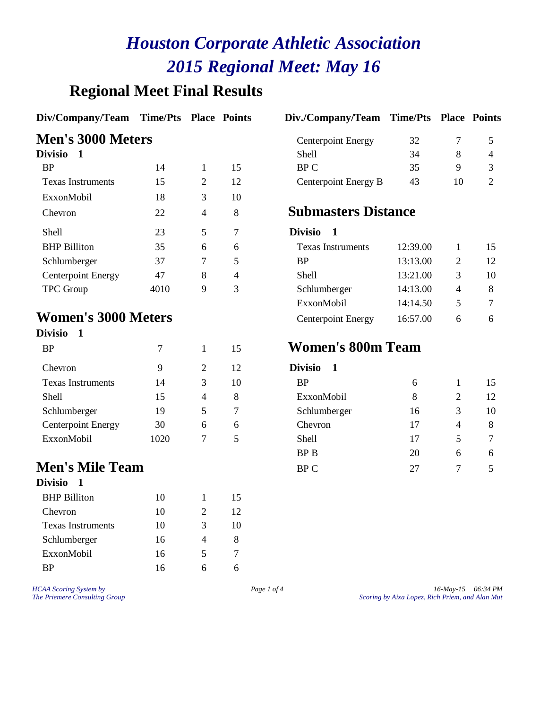## **Regional Meet Final Results**

#### **Div/Company/Team Time/Pts Place Points Div./Company/Team Time/Pts Place Points**

#### **Men's 3000 Meters**

| Divisio                   |      |   |    | <b>Shell</b>               | 34       | 8  | $\overline{4}$ |
|---------------------------|------|---|----|----------------------------|----------|----|----------------|
| <b>BP</b>                 | 14   |   | 15 | BP C                       | 35       | 9  | 3              |
| <b>Texas Instruments</b>  | 15   | 2 | 12 | Centerpoint Energy B       | 43       | 10 | $\overline{2}$ |
| ExxonMobil                | 18   | 3 | 10 |                            |          |    |                |
| Chevron                   | 22   | 4 | 8  | <b>Submasters Distance</b> |          |    |                |
| <b>Shell</b>              | 23   | 5 | 7  | <b>Divisio</b>             |          |    |                |
| <b>BHP</b> Billiton       | 35   | 6 | 6  | <b>Texas Instruments</b>   | 12:39.00 |    | 1.             |
| Schlumberger              | 37   | 7 | 5  | <b>BP</b>                  | 13:13.00 | 2  | 12             |
| <b>Centerpoint Energy</b> | 47   | 8 | 4  | <b>Shell</b>               | 13:21.00 | 3  | 10             |
| <b>TPC</b> Group          | 4010 | 9 | 3  | Schlumberger               | 14:13.00 | 4  | 8              |
|                           |      |   |    |                            |          |    |                |

#### **Women's 3000 Meters**

| <b>Divisio</b>            |      |              |    |                               |
|---------------------------|------|--------------|----|-------------------------------|
| <b>BP</b>                 | 7    | $\mathbf{1}$ | 15 | <b>Women</b>                  |
| Chevron                   | 9    | 2            | 12 | <b>Divisio</b><br>$\mathbf 1$ |
| <b>Texas Instruments</b>  | 14   | 3            | 10 | <b>BP</b>                     |
| <b>Shell</b>              | 15   | 4            | 8  | ExxonMol                      |
| Schlumberger              | 19   | 5            | 7  | Schlumber                     |
| <b>Centerpoint Energy</b> | 30   | 6            | 6  | Chevron                       |
| ExxonMobil                | 1020 |              | 5  | Shell                         |
|                           |      |              |    |                               |

#### **Men's Mile Team**

#### **Divisio 1** BHP Billiton 10 1 15 Chevron 10 2 12 Texas Instruments 10 3 10 Schlumberger 16 4 8 ExxonMobil 16 5 7 BP 16 6 6

| Div./Company/Team Time/Pts Place Points |  |  |
|-----------------------------------------|--|--|
|                                         |  |  |

| <b>Men's 3000 Meters</b> |  |  |  | <b>Centerpoint Energy</b> | 32 |  |
|--------------------------|--|--|--|---------------------------|----|--|
| <b>Divisio</b>           |  |  |  | Shell                     |    |  |
| <b>BP</b>                |  |  |  | BP C                      |    |  |
| Texas Instruments        |  |  |  | Centerpoint Energy B      | 43 |  |

## **Submasters Distance**

| Shell                      | 23   |   |   | Divisio                   |          |              |    |
|----------------------------|------|---|---|---------------------------|----------|--------------|----|
| <b>BHP Billiton</b>        | 35   | 6 | 6 | <b>Texas Instruments</b>  | 12:39.00 |              | 15 |
| Schlumberger               | 37   |   |   | <b>BP</b>                 | 13:13.00 |              | 12 |
| Centerpoint Energy         | 47   | 8 | 4 | Shell                     | 13:21.00 |              | 10 |
| TPC Group                  | 4010 | 9 |   | Schlumberger              | 14:13.00 | 4            | 8  |
|                            |      |   |   | ExxonMobil                | 14:14.50 |              |    |
| <b>Vomen's 3000 Meters</b> |      |   |   | <b>Centerpoint Energy</b> | 16:57.00 | <sub>6</sub> | 6  |
|                            |      |   |   |                           |          |              |    |

#### BP <sup>7</sup> <sup>1</sup> <sup>15</sup> **Women's 800m Team**

| Chevron                  | 9    | 2              | 12 | <b>Divisio</b> |    |   |    |
|--------------------------|------|----------------|----|----------------|----|---|----|
| <b>Texas Instruments</b> | 14   | 3              | 10 | <b>BP</b>      | 6  |   | 15 |
| Shell                    | 15   | $\overline{4}$ | 8  | ExxonMobil     | 8  | 2 | 12 |
| Schlumberger             | 19   | 5              |    | Schlumberger   | 16 | 3 | 10 |
| Centerpoint Energy       | 30   | 6              | 6  | Chevron        | 17 | 4 | 8  |
| ExxonMobil               | 1020 | 7              | 5  | <b>Shell</b>   | 17 | 5 | 7  |
|                          |      |                |    | BP B           | 20 | 6 | 6  |
| <b>⁄Ien's Mile Team</b>  |      |                |    | BP C           | 27 |   |    |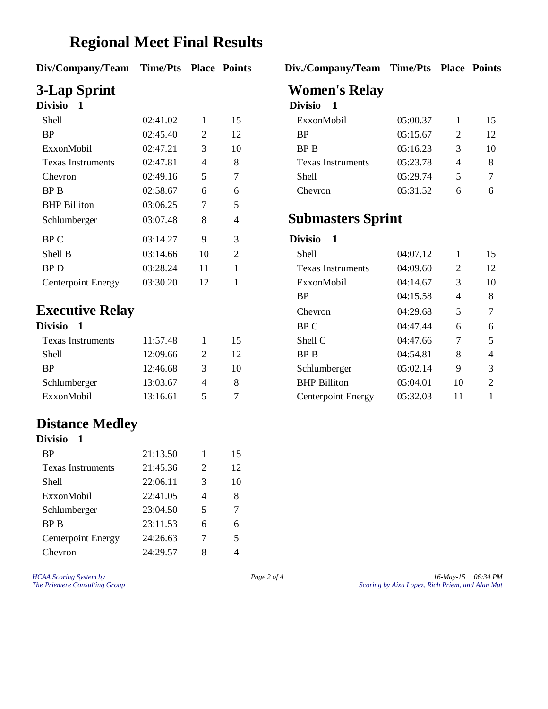## **Regional Meet Final Results**

| Div/Company/Team Time/Pts Place Points |  |  |  |
|----------------------------------------|--|--|--|
|----------------------------------------|--|--|--|

| LIVISIO                   |          |    |                | LAVISIO<br>- 1           |          |   |    |
|---------------------------|----------|----|----------------|--------------------------|----------|---|----|
| <b>Shell</b>              | 02:41.02 | 1  | 15             | ExxonMobil               | 05:00.37 |   | 1. |
| <b>BP</b>                 | 02:45.40 | 2  | 12             | <b>BP</b>                | 05:15.67 | 2 | 12 |
| ExxonMobil                | 02:47.21 | 3  | 10             | <b>BP</b> B              | 05:16.23 | 3 | 1( |
| <b>Texas Instruments</b>  | 02:47.81 | 4  | 8              | <b>Texas Instruments</b> | 05:23.78 | 4 | 8  |
| Chevron                   | 02:49.16 | 5  | 7              | <b>Shell</b>             | 05:29.74 | 5 | 7  |
| <b>BPB</b>                | 02:58.67 | 6  | 6              | Chevron                  | 05:31.52 | 6 | 6  |
| <b>BHP</b> Billiton       | 03:06.25 | 7  | 5              |                          |          |   |    |
| Schlumberger              | 03:07.48 | 8  | 4              | <b>Submasters Sprint</b> |          |   |    |
| BP C                      | 03:14.27 | 9  | 3              | <b>Divisio</b>           |          |   |    |
| Shell B                   | 03:14.66 | 10 | $\overline{2}$ | <b>Shell</b>             | 04:07.12 |   | 1. |
| BP D                      | 03:28.24 | 11 |                | <b>Texas Instruments</b> | 04:09.60 | 2 | 12 |
| <b>Centerpoint Energy</b> | 03:30.20 | 12 |                | ExxonMobil               | 04:14.67 | 3 | 10 |

## **Executive Relay**

| Divisio 1                |          |                       |    |
|--------------------------|----------|-----------------------|----|
| <b>Texas Instruments</b> | 11:57.48 |                       | 15 |
| <b>Shell</b>             | 12:09.66 | $\mathcal{D}_{\cdot}$ | 12 |
| <b>RP</b>                | 12:46.68 | 3                     | 10 |
| Schlumberger             | 13:03.67 |                       | 8  |
| ExxonMobil               | 13:16.61 | 5                     |    |
|                          |          |                       |    |

## **Distance Medley**

| <b>Divisio</b>            |          |   |    |
|---------------------------|----------|---|----|
| <b>BP</b>                 | 21:13.50 | 1 | 15 |
| <b>Texas Instruments</b>  | 21:45.36 | 2 | 12 |
| Shell                     | 22:06.11 | 3 | 10 |
| ExxonMobil                | 22:41.05 | 4 | 8  |
| Schlumberger              | 23:04.50 | 5 | 7  |
| BP B                      | 23:11.53 | 6 | 6  |
| <b>Centerpoint Energy</b> | 24:26.63 | 7 | 5  |
| hevron                    | 24:29.57 | 8 |    |

#### **Div/Company/Team Time/Pts Place Points Div./Company/Team Time/Pts Place Points**

# **3-Lap Sprint Women's Relay**

#### **Divisio 1 Divisio 1**

| Shell             | 02:41.02 |   | 15 | ExxonMobil               | 05:00.37 | 15 |
|-------------------|----------|---|----|--------------------------|----------|----|
| BP                | 02:45.40 |   | 12 | <b>BP</b>                | 05:15.67 | 12 |
| ExxonMobil        | 02:47.21 |   | 10 | BP B                     | 05:16.23 | 10 |
| Texas Instruments | 02:47.81 | 4 |    | <b>Texas Instruments</b> | 05:23.78 | 8  |
| Chevron           | 02:49.16 |   |    | Shell                    | 05:29.74 |    |
| BP B              | 02:58.67 |   |    | Chevron                  | 05:31.52 | 6  |

## Submasters Sprint

### **Divisio** 1

| 03:14.66 | 10                             | $\overline{2}$ | Shell               | 04:07.12 |    | 15             |
|----------|--------------------------------|----------------|---------------------|----------|----|----------------|
| 03:28.24 | 11<br><b>Texas Instruments</b> |                | 04:09.60            | 2        | 12 |                |
| 03:30.20 | 12                             |                | ExxonMobil          | 04:14.67 | 3  | 10             |
|          |                                |                | <b>BP</b>           | 04:15.58 | 4  | 8              |
|          |                                |                | Chevron             | 04:29.68 | 5  | 7              |
|          |                                |                | BP C                | 04:47.44 | 6  | 6              |
| 11:57.48 |                                | 15             | Shell C             | 04:47.66 | 7  | 5              |
| 12:09.66 | 2                              | 12             | BP B                | 04:54.81 | 8  | $\overline{4}$ |
| 12:46.68 | 3                              | 10             | Schlumberger        | 05:02.14 | 9  | 3              |
| 13:03.67 | 4                              | 8              | <b>BHP</b> Billiton | 05:04.01 | 10 | 2              |
| 13:16.61 | 5                              | 7              | Centerpoint Energy  | 05:32.03 | 11 |                |
|          | <b>Executive Relay</b>         |                |                     |          |    |                |

*HCAA Scoring System by Page 2 of 4 Page 2 of 4 16-May-15 06:34 PM*<br>*Page 2 of 4 Scoring by Aixa Lopez, Rich Priem, and Alan Mut The Priemere Consulting Group Scoring by Aixa Lopez, Rich Priem, and Alan Mut*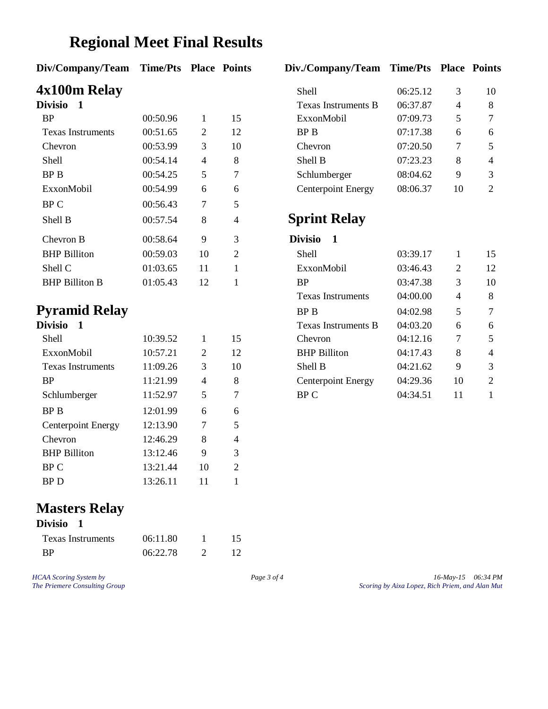## **Regional Meet Final Results**

#### **Div/Company/Team Time/Pts Place Points Div./Company/Team Time/Pts Place Points**

# **4x100m Relay**<br>Divisio 1

| <b>Divisio</b>           |          |    |                | Fexas Instruments B           | 06:37.87 | 4  | 8  |
|--------------------------|----------|----|----------------|-------------------------------|----------|----|----|
| <b>BP</b>                | 00:50.96 | Ι. | 15             | ExxonMobil                    | 07:09.73 | 5  | 7  |
| <b>Texas Instruments</b> | 00:51.65 | 2  | 12             | BP B                          | 07:17.38 | 6  | 6  |
| Chevron                  | 00:53.99 | 3  | 10             | Chevron                       | 07:20.50 | 7  | 5  |
| Shell                    | 00:54.14 | 4  | 8              | Shell B                       | 07:23.23 | 8  | 4  |
| BP B                     | 00:54.25 | 5  | 7              | Schlumberger                  | 08:04.62 | 9  | 3  |
| ExxonMobil               | 00:54.99 | 6  | 6              | Centerpoint Energy            | 08:06.37 | 10 | 2  |
| BP C                     | 00:56.43 | 7  | 5              |                               |          |    |    |
| Shell B                  | 00:57.54 | 8  | $\overline{4}$ | <b>Sprint Relay</b>           |          |    |    |
| Chevron B                | 00:58.64 | 9  | 3              | <b>Divisio</b><br>$\mathbf 1$ |          |    |    |
| <b>BHP</b> Billiton      | 00:59.03 | 10 | 2              | <b>Shell</b>                  | 03:39.17 |    | 1. |
| Shell C                  | 01:03.65 | 11 |                | ExxonMobil                    | 03:46.43 | 2  | 12 |
| <b>BHP Billiton B</b>    | 01:05.43 | 12 |                | <b>BP</b>                     | 03:47.38 | 3  | 10 |

## **Pyramid Relay**

| Divisio                   |          |    |    |
|---------------------------|----------|----|----|
| <b>Shell</b>              | 10:39.52 | 1  | 15 |
| ExxonMobil                | 10:57.21 | 2  | 12 |
| <b>Texas Instruments</b>  | 11:09.26 | 3  | 10 |
| <b>BP</b>                 | 11:21.99 | 4  | 8  |
| Schlumberger              | 11:52.97 | 5  | 7  |
| BP B                      | 12:01.99 | 6  | 6  |
| <b>Centerpoint Energy</b> | 12:13.90 | 7  | 5  |
| Chevron                   | 12:46.29 | 8  | 4  |
| <b>BHP</b> Billiton       | 13:12.46 | 9  | 3  |
| BP C                      | 13:21.44 | 10 | 2  |
| BP D                      | 13:26.11 | 11 |    |

## **Masters Relay**

| Divisio 1                |          |    |
|--------------------------|----------|----|
| <b>Texas Instruments</b> | 06:11.80 | 15 |
| <b>RP</b>                | 06:22.78 | 12 |

*HCAA Scoring System by Page 3 of 4 Page 3 of 4 16-May-15 06:34 PM*<br>*Page 3 of 4 Scoring by Aixa Lopez, Rich Priem, and Alan Mut The Priemere Consulting Group Scoring by Aixa Lopez, Rich Priem, and Alan Mut*

| 4x100m Relay             |          |   |    | Shell                     | 06:25.12 |    | 10             |
|--------------------------|----------|---|----|---------------------------|----------|----|----------------|
| Divisio                  |          |   |    | Texas Instruments B       | 06:37.87 | 4  | 8              |
| <b>BP</b>                | 00:50.96 |   | 15 | ExxonMobil                | 07:09.73 |    | $\tau$         |
| <b>Texas Instruments</b> | 00:51.65 | 2 | 12 | BP B                      | 07:17.38 | 6  | 6              |
| Chevron                  | 00:53.99 |   | 10 | Chevron                   | 07:20.50 |    | .5             |
| <b>Shell</b>             | 00:54.14 | 4 | 8  | Shell B                   | 07:23.23 | 8  | $\overline{4}$ |
| BP B                     | 00:54.25 |   |    | Schlumberger              | 08:04.62 | 9  | 3              |
| ExxonMobil               | 00:54.99 | 6 | 6  | <b>Centerpoint Energy</b> | 08:06.37 | 10 | 2              |

## **Sprint Relay**

| 00:58.64      | 9  | 3              | <b>Divisio</b>            |          |    |                |
|---------------|----|----------------|---------------------------|----------|----|----------------|
| 00:59.03      | 10 | $\overline{2}$ | Shell                     | 03:39.17 |    | 15             |
| 01:03.65      | 11 |                | ExxonMobil                | 03:46.43 | 2  | 12             |
| 01:05.43      | 12 |                | <b>BP</b>                 | 03:47.38 | 3  | 10             |
|               |    |                | <b>Texas Instruments</b>  | 04:00.00 | 4  | 8              |
| Pyramid Relay |    |                | BP B                      | 04:02.98 | 5  | 7              |
|               |    |                | Texas Instruments B       | 04:03.20 | 6  | 6              |
| 10:39.52      |    | 15             | Chevron                   | 04:12.16 | 7  | 5              |
| 10:57.21      | 2  | 12             | <b>BHP</b> Billiton       | 04:17.43 | 8  | $\overline{4}$ |
| 11:09.26      | 3  | 10             | Shell B                   | 04:21.62 | 9  | 3              |
| 11:21.99      | 4  | 8              | <b>Centerpoint Energy</b> | 04:29.36 | 10 | 2              |
| 11:52.97      | 5  | 7              | BP C                      | 04:34.51 | 11 |                |
|               |    |                |                           |          |    |                |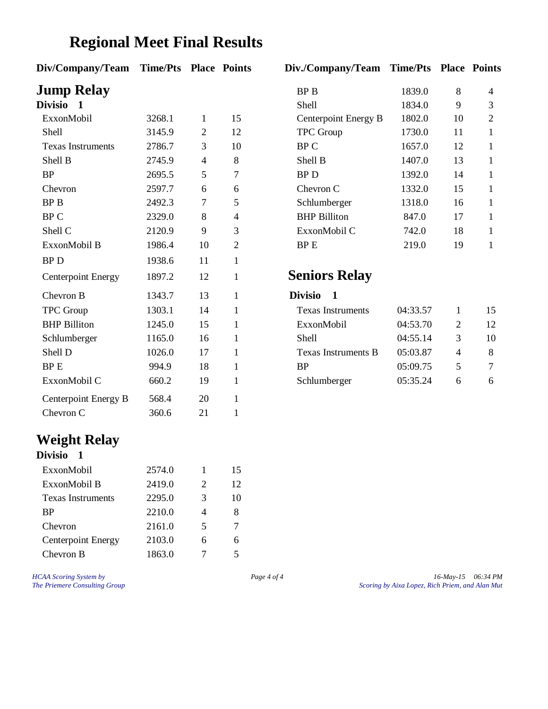# **Regional Meet Final Results**

| Div/Company/Team Time/Pts Place Points |        |                |                | Div./Company/Team Time/Pts Place Points |          |                |                |
|----------------------------------------|--------|----------------|----------------|-----------------------------------------|----------|----------------|----------------|
| <b>Jump Relay</b>                      |        |                |                | <b>BPB</b>                              | 1839.0   | 8              | $\overline{4}$ |
| <b>Divisio</b><br>1                    |        |                |                | Shell                                   | 1834.0   | 9              | 3              |
| ExxonMobil                             | 3268.1 | 1              | 15             | Centerpoint Energy B                    | 1802.0   | 10             | $\mathfrak{2}$ |
| Shell                                  | 3145.9 | $\overline{2}$ | 12             | <b>TPC</b> Group                        | 1730.0   | 11             | 1              |
| <b>Texas Instruments</b>               | 2786.7 | 3              | 10             | BP C                                    | 1657.0   | 12             | $\mathbf{1}$   |
| Shell B                                | 2745.9 | $\overline{4}$ | 8              | Shell B                                 | 1407.0   | 13             | $\mathbf{1}$   |
| <b>BP</b>                              | 2695.5 | 5              | $\overline{7}$ | <b>BPD</b>                              | 1392.0   | 14             | 1              |
| Chevron                                | 2597.7 | 6              | 6              | Chevron C                               | 1332.0   | 15             | 1              |
| <b>BPB</b>                             | 2492.3 | 7              | 5              | Schlumberger                            | 1318.0   | 16             | 1              |
| <b>BPC</b>                             | 2329.0 | 8              | $\overline{4}$ | <b>BHP</b> Billiton                     | 847.0    | 17             | 1              |
| Shell C                                | 2120.9 | 9              | 3              | ExxonMobil C                            | 742.0    | 18             | 1              |
| ExxonMobil B                           | 1986.4 | 10             | $\mathbf{2}$   | BP E                                    | 219.0    | 19             | $\mathbf{1}$   |
| <b>BPD</b>                             | 1938.6 | 11             | $\mathbf{1}$   |                                         |          |                |                |
| <b>Centerpoint Energy</b>              | 1897.2 | 12             | $\mathbf{1}$   | <b>Seniors Relay</b>                    |          |                |                |
| Chevron B                              | 1343.7 | 13             | $\mathbf{1}$   | <b>Divisio</b><br>$\mathbf{1}$          |          |                |                |
| <b>TPC</b> Group                       | 1303.1 | 14             | $\mathbf{1}$   | <b>Texas Instruments</b>                | 04:33.57 | 1              | 15             |
| <b>BHP</b> Billiton                    | 1245.0 | 15             | $\mathbf{1}$   | ExxonMobil                              | 04:53.70 | $\overline{2}$ | 12             |
| Schlumberger                           | 1165.0 | 16             | $\mathbf{1}$   | Shell                                   | 04:55.14 | 3              | 10             |
| Shell D                                | 1026.0 | 17             | $\mathbf{1}$   | <b>Texas Instruments B</b>              | 05:03.87 | 4              | 8              |
| <b>BPE</b>                             | 994.9  | 18             | $\mathbf{1}$   | <b>BP</b>                               | 05:09.75 | 5              | 7              |
| ExxonMobil C                           | 660.2  | 19             | $\mathbf{1}$   | Schlumberger                            | 05:35.24 | 6              | 6              |
| Centerpoint Energy B                   | 568.4  | 20             | $\mathbf{1}$   |                                         |          |                |                |
| Chevron C                              | 360.6  | 21             | $\mathbf{1}$   |                                         |          |                |                |

#### **Weight Relay Divisio 1**

| VIVISIO                   |        |   |    |  |  |  |  |
|---------------------------|--------|---|----|--|--|--|--|
| ExxonMobil                | 2574.0 | 1 | 15 |  |  |  |  |
| ExxonMobil B              | 2419.0 | 2 | 12 |  |  |  |  |
| <b>Texas Instruments</b>  | 2295.0 | 3 | 10 |  |  |  |  |
| <b>BP</b>                 | 2210.0 |   | 8  |  |  |  |  |
| Chevron                   | 2161.0 | 5 |    |  |  |  |  |
| <b>Centerpoint Energy</b> | 2103.0 |   |    |  |  |  |  |
| Chevron B                 | 1863.0 |   |    |  |  |  |  |

| <b>BP B</b>          | 1839.0 | 8  | 4 |
|----------------------|--------|----|---|
| Shell                | 1834.0 | 9  | 3 |
| Centerpoint Energy B | 1802.0 | 10 | 2 |
| <b>TPC</b> Group     | 1730.0 | 11 | 1 |
| BP C                 | 1657.0 | 12 | 1 |
| Shell B              | 1407.0 | 13 | 1 |
| BP D                 | 1392.0 | 14 | 1 |
| Chevron C            | 1332.0 | 15 | 1 |
| Schlumberger         | 1318.0 | 16 | 1 |
| <b>BHP Billiton</b>  | 847.0  | 17 | 1 |
| ExxonMobil C         | 742.0  | 18 | 1 |
| <b>BPE</b>           | 219.0  | 19 | 1 |
|                      |        |    |   |
| $3$ oniang Dalam     |        |    |   |

## **Seniors Relay**

| Chevron B           | 1343.7 |    | DIVISIO                  |          |   |    |
|---------------------|--------|----|--------------------------|----------|---|----|
| TPC Group           | 1303.1 | 14 | <b>Texas Instruments</b> | 04:33.57 |   | 15 |
| <b>BHP Billiton</b> | 1245.0 | 15 | ExxonMobil               | 04:53.70 |   | 12 |
| Schlumberger        | 1165.0 | 16 | <b>Shell</b>             | 04:55.14 |   | 10 |
| Shell D             | 1026.0 | 17 | Texas Instruments B      | 05:03.87 |   | 8  |
| BP E                | 994.9  | 18 | <b>BP</b>                | 05:09.75 |   |    |
| ExxonMobil C        | 660.2  | 19 | Schlumberger             | 05:35.24 | h | -6 |
|                     |        |    |                          |          |   |    |

*HCAA Scoring System by Page 4 of 4 16-May-15 16-May-15 06:34 PM*<br>*Page 4 of 4 Scoring by Aixa Lopez, Rich Priem, and Alan Mut The Priemere Consulting Group Scoring by Aixa Lopez, Rich Priem, and Alan Mut*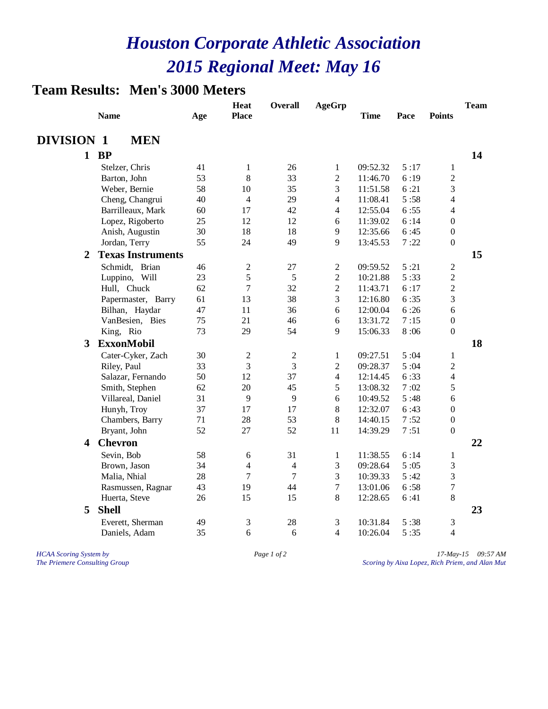### **Team Results: Men's 3000 Meters**

|                         | <b>Name</b>              | Age | <b>Heat</b><br><b>Place</b> | <b>Overall</b> | <b>AgeGrp</b>            | <b>Time</b> | Pace | <b>Points</b>           | <b>Team</b> |
|-------------------------|--------------------------|-----|-----------------------------|----------------|--------------------------|-------------|------|-------------------------|-------------|
| <b>DIVISION 1</b>       | <b>MEN</b>               |     |                             |                |                          |             |      |                         |             |
|                         | $1$ BP                   |     |                             |                |                          |             |      |                         | 14          |
|                         | Stelzer, Chris           | 41  | $\mathbf{1}$                | 26             | $\mathbf{1}$             | 09:52.32    | 5:17 | $\mathbf{1}$            |             |
|                         | Barton, John             | 53  | 8                           | 33             | $\overline{2}$           | 11:46.70    | 6:19 | $\overline{2}$          |             |
|                         | Weber, Bernie            | 58  | 10                          | 35             | 3                        | 11:51.58    | 6:21 | 3                       |             |
|                         | Cheng, Changrui          | 40  | $\overline{4}$              | 29             | $\overline{\mathbf{4}}$  | 11:08.41    | 5:58 | 4                       |             |
|                         | Barrilleaux, Mark        | 60  | 17                          | 42             | $\overline{\mathcal{L}}$ | 12:55.04    | 6:55 | 4                       |             |
|                         | Lopez, Rigoberto         | 25  | 12                          | 12             | 6                        | 11:39.02    | 6:14 | $\boldsymbol{0}$        |             |
|                         | Anish, Augustin          | 30  | 18                          | 18             | 9                        | 12:35.66    | 6:45 | $\boldsymbol{0}$        |             |
|                         | Jordan, Terry            | 55  | 24                          | 49             | 9                        | 13:45.53    | 7:22 | $\boldsymbol{0}$        |             |
| $\boldsymbol{2}$        | <b>Texas Instruments</b> |     |                             |                |                          |             |      |                         | 15          |
|                         | Schmidt, Brian           | 46  | $\mathfrak{2}$              | 27             | $\overline{2}$           | 09:59.52    | 5:21 | $\overline{c}$          |             |
|                         | Luppino, Will            | 23  | 5                           | 5              | $\overline{c}$           | 10:21.88    | 5:33 | $\overline{c}$          |             |
|                         | Hull, Chuck              | 62  | $\overline{7}$              | 32             | $\overline{c}$           | 11:43.71    | 6:17 | $\overline{c}$          |             |
|                         | Papermaster, Barry       | 61  | 13                          | 38             | 3                        | 12:16.80    | 6:35 | 3                       |             |
|                         | Bilhan, Haydar           | 47  | 11                          | 36             | 6                        | 12:00.04    | 6:26 | 6                       |             |
|                         | VanBesien, Bies          | 75  | 21                          | 46             | 6                        | 13:31.72    | 7:15 | $\boldsymbol{0}$        |             |
|                         | King, Rio                | 73  | 29                          | 54             | 9                        | 15:06.33    | 8:06 | $\mathbf{0}$            |             |
|                         | 3 ExxonMobil             |     |                             |                |                          |             |      |                         | 18          |
|                         | Cater-Cyker, Zach        | 30  | $\overline{2}$              | $\overline{c}$ | 1                        | 09:27.51    | 5:04 | 1                       |             |
|                         | Riley, Paul              | 33  | 3                           | 3              | $\overline{2}$           | 09:28.37    | 5:04 | $\overline{c}$          |             |
|                         | Salazar, Fernando        | 50  | 12                          | 37             | $\overline{4}$           | 12:14.45    | 6:33 | $\overline{\mathbf{4}}$ |             |
|                         | Smith, Stephen           | 62  | 20                          | 45             | 5                        | 13:08.32    | 7:02 | 5                       |             |
|                         | Villareal, Daniel        | 31  | 9                           | 9              | 6                        | 10:49.52    | 5:48 | 6                       |             |
|                         | Hunyh, Troy              | 37  | 17                          | 17             | 8                        | 12:32.07    | 6:43 | $\boldsymbol{0}$        |             |
|                         | Chambers, Barry          | 71  | 28                          | 53             | 8                        | 14:40.15    | 7:52 | $\boldsymbol{0}$        |             |
|                         | Bryant, John             | 52  | 27                          | 52             | 11                       | 14:39.29    | 7:51 | $\boldsymbol{0}$        |             |
| $\overline{\mathbf{4}}$ | <b>Chevron</b>           |     |                             |                |                          |             |      |                         | 22          |
|                         | Sevin, Bob               | 58  | 6                           | 31             | $\mathbf{1}$             | 11:38.55    | 6:14 | $\mathbf 1$             |             |
|                         | Brown, Jason             | 34  | 4                           | $\overline{4}$ | 3                        | 09:28.64    | 5:05 | 3                       |             |
|                         | Malia, Nhial             | 28  | 7                           | $\tau$         | 3                        | 10:39.33    | 5:42 | 3                       |             |
|                         | Rasmussen, Ragnar        | 43  | 19                          | 44             | $\overline{7}$           | 13:01.06    | 6:58 | $\overline{7}$          |             |
|                         | Huerta, Steve            | 26  | 15                          | 15             | 8                        | 12:28.65    | 6:41 | 8                       |             |
| 5                       | <b>Shell</b>             |     |                             |                |                          |             |      |                         | 23          |
|                         | Everett, Sherman         | 49  | 3                           | 28             | $\mathfrak{Z}$           | 10:31.84    | 5:38 | 3                       |             |
|                         | Daniels, Adam            | 35  | 6                           | 6              | 4                        | 10:26.04    | 5:35 | 4                       |             |
|                         |                          |     |                             |                |                          |             |      |                         |             |

*HCAA Scoring System by Page 1 of 2 Page 1 of 2 17-May-15 09:57 AM*<br>*Page 1 of 2 Scoring by Aixa Lopez, Rich Priem, and Alan Mut The Priemere Consulting Group Scoring by Aixa Lopez, Rich Priem, and Alan Mut*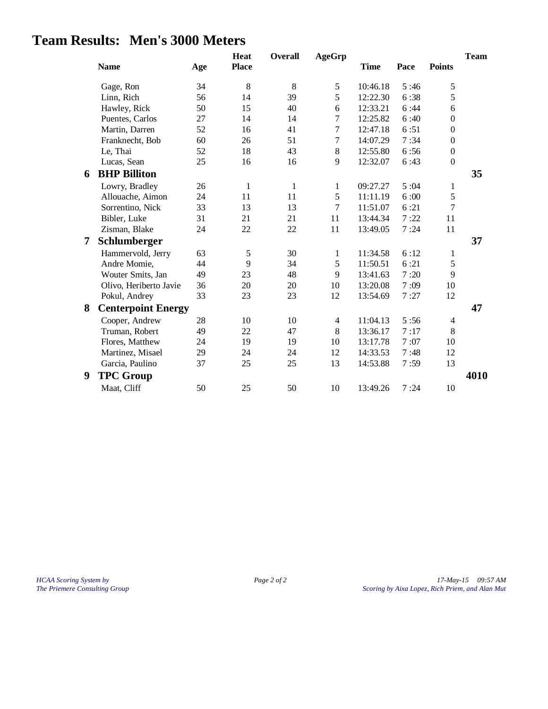## **Team Results: Men's 3000 Meters**

|   | <b>Name</b>               | Age | <b>Heat</b><br><b>Place</b> | Overall | <b>AgeGrp</b>  | <b>Time</b> | Pace | <b>Points</b>    | <b>Team</b> |
|---|---------------------------|-----|-----------------------------|---------|----------------|-------------|------|------------------|-------------|
|   | Gage, Ron                 | 34  | 8                           | 8       | 5              | 10:46.18    | 5:46 | 5                |             |
|   | Linn, Rich                | 56  | 14                          | 39      | 5              | 12:22.30    | 6:38 | 5                |             |
|   | Hawley, Rick              | 50  | 15                          | 40      | 6              | 12:33.21    | 6:44 | 6                |             |
|   | Puentes, Carlos           | 27  | 14                          | 14      | 7              | 12:25.82    | 6:40 | $\boldsymbol{0}$ |             |
|   | Martin, Darren            | 52  | 16                          | 41      | $\overline{7}$ | 12:47.18    | 6:51 | $\boldsymbol{0}$ |             |
|   | Franknecht, Bob           | 60  | 26                          | 51      | $\tau$         | 14:07.29    | 7:34 | $\boldsymbol{0}$ |             |
|   | Le, Thai                  | 52  | 18                          | 43      | 8              | 12:55.80    | 6:56 | $\boldsymbol{0}$ |             |
|   | Lucas, Sean               | 25  | 16                          | 16      | 9              | 12:32.07    | 6:43 | $\boldsymbol{0}$ |             |
| 6 | <b>BHP Billiton</b>       |     |                             |         |                |             |      |                  | 35          |
|   | Lowry, Bradley            | 26  | $\mathbf{1}$                | 1       | 1              | 09:27.27    | 5:04 | 1                |             |
|   | Allouache, Aimon          | 24  | 11                          | 11      | 5              | 11:11.19    | 6:00 | 5                |             |
|   | Sorrentino, Nick          | 33  | 13                          | 13      | $\overline{7}$ | 11:51.07    | 6:21 | 7                |             |
|   | Bibler, Luke              | 31  | 21                          | 21      | 11             | 13:44.34    | 7:22 | 11               |             |
|   | Zisman, Blake             | 24  | 22                          | 22      | 11             | 13:49.05    | 7:24 | 11               |             |
| 7 | Schlumberger              |     |                             |         |                |             |      |                  | 37          |
|   | Hammervold, Jerry         | 63  | 5                           | 30      | $\mathbf{1}$   | 11:34.58    | 6:12 | $\mathbf{1}$     |             |
|   | Andre Momie,              | 44  | 9                           | 34      | 5              | 11:50.51    | 6:21 | 5                |             |
|   | Wouter Smits, Jan         | 49  | 23                          | 48      | 9              | 13:41.63    | 7:20 | 9                |             |
|   | Olivo, Heriberto Javie    | 36  | 20                          | 20      | 10             | 13:20.08    | 7:09 | 10               |             |
|   | Pokul, Andrey             | 33  | 23                          | 23      | 12             | 13:54.69    | 7:27 | 12               |             |
| 8 | <b>Centerpoint Energy</b> |     |                             |         |                |             |      |                  | 47          |
|   | Cooper, Andrew            | 28  | 10                          | 10      | $\overline{4}$ | 11:04.13    | 5:56 | 4                |             |
|   | Truman, Robert            | 49  | 22                          | 47      | 8              | 13:36.17    | 7:17 | 8                |             |
|   | Flores, Matthew           | 24  | 19                          | 19      | 10             | 13:17.78    | 7:07 | 10               |             |
|   | Martinez, Misael          | 29  | 24                          | 24      | 12             | 14:33.53    | 7:48 | 12               |             |
|   | Garcia, Paulino           | 37  | 25                          | 25      | 13             | 14:53.88    | 7:59 | 13               |             |
| 9 | <b>TPC Group</b>          |     |                             |         |                |             |      |                  | 4010        |
|   | Maat, Cliff               | 50  | 25                          | 50      | 10             | 13:49.26    | 7:24 | 10               |             |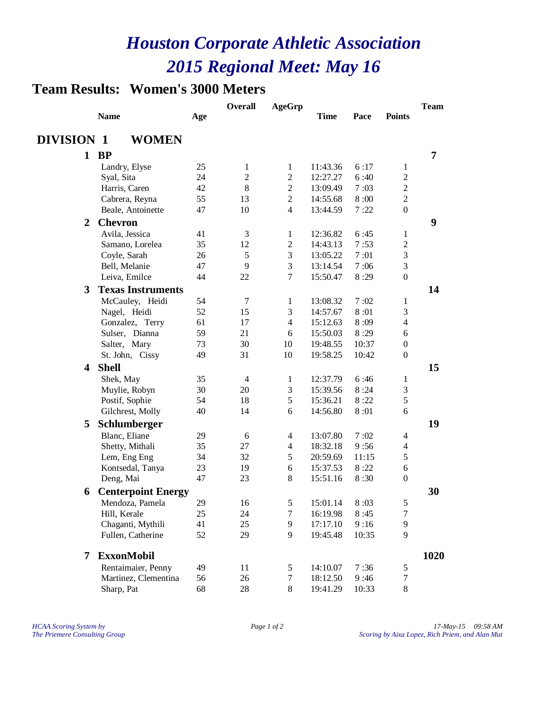## **Team Results: Women's 3000 Meters**

|                         |                                            |          | Overall             | <b>AgeGrp</b>                |                      |               |                                | <b>Team</b> |  |
|-------------------------|--------------------------------------------|----------|---------------------|------------------------------|----------------------|---------------|--------------------------------|-------------|--|
|                         | <b>Name</b>                                | Age      |                     |                              | <b>Time</b>          | Pace          | <b>Points</b>                  |             |  |
| <b>DIVISION 1</b>       | <b>WOMEN</b>                               |          |                     |                              |                      |               |                                |             |  |
|                         |                                            |          |                     |                              |                      |               |                                | 7           |  |
|                         | $1$ BP                                     |          |                     |                              |                      |               |                                |             |  |
|                         | Landry, Elyse                              | 25<br>24 | 1<br>$\overline{2}$ | 1                            | 11:43.36             | 6:17          | 1                              |             |  |
|                         | Syal, Sita                                 | 42       | 8                   | $\overline{2}$               | 12:27.27             | 6:40          | $\overline{c}$                 |             |  |
|                         | Harris, Caren<br>Cabrera, Reyna            | 55       | 13                  | $\sqrt{2}$<br>$\overline{2}$ | 13:09.49             | 7:03          | $\boldsymbol{2}$<br>$\sqrt{2}$ |             |  |
|                         |                                            | 47       | 10                  | $\overline{4}$               | 14:55.68<br>13:44.59 | 8:00<br>7:22  | $\boldsymbol{0}$               |             |  |
|                         | Beale, Antoinette                          |          |                     |                              |                      |               |                                |             |  |
| $\overline{2}$          | <b>Chevron</b>                             |          |                     |                              |                      |               |                                | 9           |  |
|                         | Avila, Jessica                             | 41       | 3                   | $\mathbf{1}$                 | 12:36.82             | 6:45          | $\mathbf{1}$                   |             |  |
|                         | Samano, Lorelea                            | 35       | 12                  | $\boldsymbol{2}$             | 14:43.13             | 7:53          | $\sqrt{2}$                     |             |  |
|                         | Coyle, Sarah                               | 26       | 5                   | $\mathfrak{Z}$               | 13:05.22             | 7:01          | $\mathfrak{Z}$                 |             |  |
|                         | Bell, Melanie                              | 47       | 9                   | 3                            | 13:14.54             | 7:06          | $\mathfrak{Z}$                 |             |  |
|                         | Leiva, Emilce                              | 44       | 22                  | $\tau$                       | 15:50.47             | 8:29          | $\boldsymbol{0}$               |             |  |
| 3                       | <b>Texas Instruments</b>                   |          |                     |                              |                      |               |                                | 14          |  |
|                         | McCauley, Heidi                            | 54       | 7                   | $\mathbf{1}$                 | 13:08.32             | 7:02          | 1                              |             |  |
|                         | Nagel, Heidi                               | 52       | 15                  | 3                            | 14:57.67             | 8:01          | 3                              |             |  |
|                         | Gonzalez, Terry                            | 61       | 17                  | $\overline{4}$               | 15:12.63             | 8:09          | 4                              |             |  |
|                         | Sulser, Dianna                             | 59       | 21                  | 6                            | 15:50.03             | 8:29          | 6                              |             |  |
|                         | Salter, Mary                               | 73       | 30                  | 10                           | 19:48.55             | 10:37         | $\boldsymbol{0}$               |             |  |
|                         | St. John, Cissy                            | 49       | 31                  | 10                           | 19:58.25             | 10:42         | $\boldsymbol{0}$               |             |  |
| $\overline{\mathbf{4}}$ | <b>Shell</b>                               |          |                     |                              |                      |               |                                | 15          |  |
|                         | Shek, May                                  | 35       | $\overline{4}$      | $\mathbf{1}$                 | 12:37.79             | 6:46          | 1                              |             |  |
|                         | Muylie, Robyn                              | 30       | 20                  | $\mathfrak{Z}$               | 15:39.56             | 8:24          | $\mathfrak{Z}$                 |             |  |
|                         | Postif, Sophie                             | 54       | 18                  | $\sqrt{5}$                   | 15:36.21             | 8:22          | 5                              |             |  |
|                         | Gilchrest, Molly                           | 40       | 14                  | 6                            | 14:56.80             | 8:01          | 6                              |             |  |
| 5                       | Schlumberger                               |          |                     |                              |                      |               |                                | 19          |  |
|                         | Blanc, Eliane                              | 29       | 6                   | $\overline{4}$               | 13:07.80             | 7:02          | $\overline{4}$                 |             |  |
|                         | Shetty, Mithali                            | 35       | 27                  | $\overline{\mathcal{A}}$     | 18:32.18             | 9:56          | $\overline{4}$                 |             |  |
|                         | Lem, Eng Eng                               | 34       | 32                  | $\sqrt{5}$                   | 20:59.69             | 11:15         | 5                              |             |  |
|                         | Kontsedal, Tanya                           | 23       | 19                  | 6                            | 15:37.53             | 8:22          | 6                              |             |  |
|                         | Deng, Mai                                  | 47       | 23                  | 8                            | 15:51.16             | 8:30          | $\boldsymbol{0}$               |             |  |
| 6                       | <b>Centerpoint Energy</b>                  |          |                     |                              |                      |               |                                | 30          |  |
|                         | Mendoza, Pamela                            | 29       | 16                  | $\sqrt{5}$                   | 15:01.14             | 8:03          | 5                              |             |  |
|                         | Hill, Kerale                               | 25       | 24                  | $\boldsymbol{7}$             | 16:19.98             | 8:45          | $\boldsymbol{7}$               |             |  |
|                         | Chaganti, Mythili                          | 41       | 25                  | $\mathbf{9}$                 | 17:17.10             | 9:16          | 9                              |             |  |
|                         | Fullen, Catherine                          | 52       | 29                  | 9                            | 19:45.48             | 10:35         | 9                              |             |  |
| 7                       | <b>ExxonMobil</b>                          |          |                     |                              |                      |               |                                | 1020        |  |
|                         |                                            |          |                     |                              |                      |               |                                |             |  |
|                         | Rentaimaier, Penny<br>Martinez, Clementina | 49       | 11                  | 5<br>$\boldsymbol{7}$        | 14:10.07             | 7:36          | 5<br>$\boldsymbol{7}$          |             |  |
|                         | Sharp, Pat                                 | 56<br>68 | 26<br>28            | $8\,$                        | 18:12.50<br>19:41.29 | 9:46<br>10:33 | $8\,$                          |             |  |
|                         |                                            |          |                     |                              |                      |               |                                |             |  |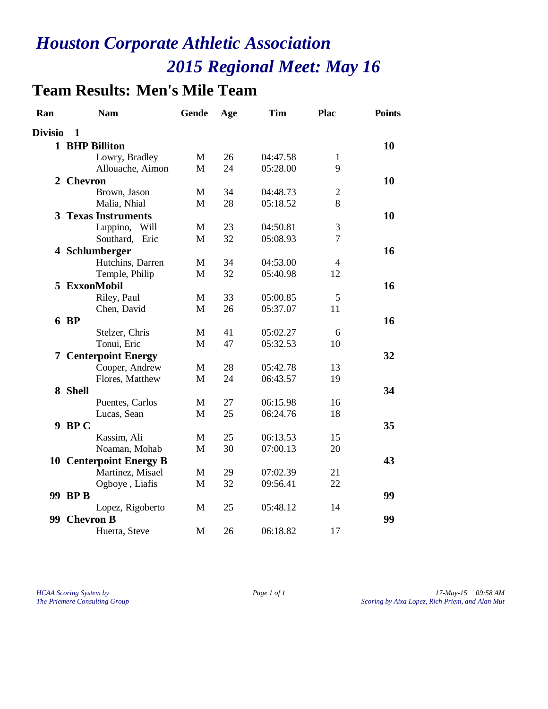# **Team Results: Men's Mile Team**

| Ran            | <b>Nam</b>                     | <b>Gende</b> | Age | <b>Tim</b> | <b>Plac</b>    | <b>Points</b> |
|----------------|--------------------------------|--------------|-----|------------|----------------|---------------|
| <b>Divisio</b> | 1                              |              |     |            |                |               |
|                | 1 BHP Billiton                 |              |     |            |                | 10            |
|                | Lowry, Bradley                 | M            | 26  | 04:47.58   | $\mathbf{1}$   |               |
|                | Allouache, Aimon               | M            | 24  | 05:28.00   | 9              |               |
|                | 2 Chevron                      |              |     |            |                | 10            |
|                | Brown, Jason                   | M            | 34  | 04:48.73   | $\sqrt{2}$     |               |
|                | Malia, Nhial                   | M            | 28  | 05:18.52   | 8              |               |
|                | <b>3 Texas Instruments</b>     |              |     |            |                | 10            |
|                | Luppino, Will                  | M            | 23  | 04:50.81   | 3              |               |
|                | Southard, Eric                 | $\mathbf{M}$ | 32  | 05:08.93   | $\overline{7}$ |               |
|                | 4 Schlumberger                 |              |     |            |                | 16            |
|                | Hutchins, Darren               | M            | 34  | 04:53.00   | $\overline{4}$ |               |
|                | Temple, Philip                 | $\mathbf{M}$ | 32  | 05:40.98   | 12             |               |
|                | 5 ExxonMobil                   |              |     |            |                | 16            |
|                | Riley, Paul                    | M            | 33  | 05:00.85   | 5              |               |
|                | Chen, David                    | M            | 26  | 05:37.07   | 11             |               |
|                | 6 BP                           |              |     |            |                | 16            |
|                | Stelzer, Chris                 | M            | 41  | 05:02.27   | 6              |               |
|                | Tonui, Eric                    | M            | 47  | 05:32.53   | 10             |               |
|                | <b>7 Centerpoint Energy</b>    |              |     |            |                | 32            |
|                | Cooper, Andrew                 | M            | 28  | 05:42.78   | 13             |               |
|                | Flores, Matthew                | M            | 24  | 06:43.57   | 19             |               |
|                | 8 Shell                        |              |     |            |                | 34            |
|                | Puentes, Carlos                | M            | 27  | 06:15.98   | 16             |               |
|                | Lucas, Sean                    | M            | 25  | 06:24.76   | 18             |               |
|                | 9 BP C                         |              |     |            |                | 35            |
|                | Kassim, Ali                    | M            | 25  | 06:13.53   | 15             |               |
|                | Noaman, Mohab                  | M            | 30  | 07:00.13   | 20             |               |
|                | <b>10 Centerpoint Energy B</b> |              |     |            |                | 43            |
|                | Martinez, Misael               | M            | 29  | 07:02.39   | 21             |               |
|                | Ogboye, Liafis                 | M            | 32  | 09:56.41   | 22             |               |
|                | 99 BP B                        |              |     |            |                | 99            |
|                | Lopez, Rigoberto               | M            | 25  | 05:48.12   | 14             |               |
| 99.            | <b>Chevron B</b>               |              |     |            |                | 99            |
|                | Huerta, Steve                  | M            | 26  | 06:18.82   | 17             |               |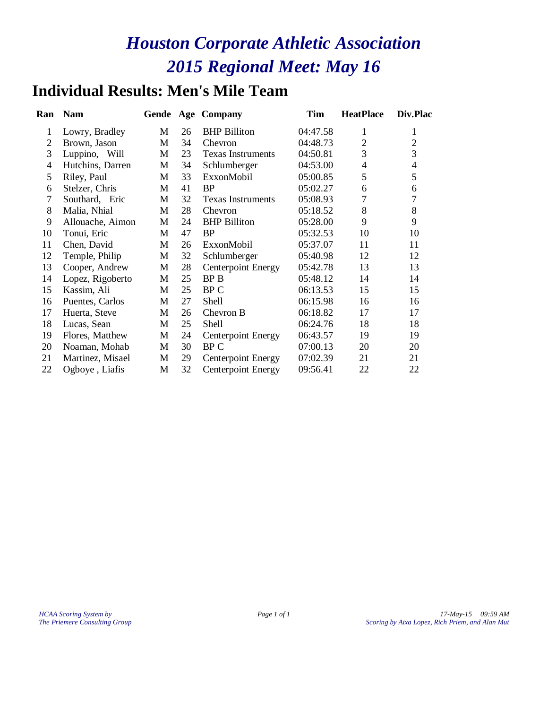## **Individual Results: Men's Mile Team**

| Ran            | <b>Nam</b>       |   |    | Gende Age Company         | Tim      | <b>HeatPlace</b> | Div.Plac       |
|----------------|------------------|---|----|---------------------------|----------|------------------|----------------|
| 1              | Lowry, Bradley   | M | 26 | <b>BHP</b> Billiton       | 04:47.58 | 1                | 1              |
| 2              | Brown, Jason     | M | 34 | Chevron                   | 04:48.73 | $\mathfrak{2}$   | $\overline{2}$ |
| 3              | Luppino, Will    | M | 23 | <b>Texas Instruments</b>  | 04:50.81 | 3                | 3              |
| $\overline{4}$ | Hutchins, Darren | M | 34 | Schlumberger              | 04:53.00 | $\overline{4}$   | $\overline{4}$ |
| 5              | Riley, Paul      | M | 33 | ExxonMobil                | 05:00.85 | 5                | 5              |
| 6              | Stelzer, Chris   | M | 41 | <b>BP</b>                 | 05:02.27 | 6                | 6              |
| 7              | Southard, Eric   | M | 32 | <b>Texas Instruments</b>  | 05:08.93 | $\overline{7}$   | 7              |
| 8              | Malia, Nhial     | M | 28 | Chevron                   | 05:18.52 | 8                | 8              |
| 9              | Allouache, Aimon | M | 24 | <b>BHP</b> Billiton       | 05:28.00 | 9                | 9              |
| 10             | Tonui, Eric      | M | 47 | <b>BP</b>                 | 05:32.53 | 10               | 10             |
| 11             | Chen, David      | M | 26 | ExxonMobil                | 05:37.07 | 11               | 11             |
| 12             | Temple, Philip   | M | 32 | Schlumberger              | 05:40.98 | 12               | 12             |
| 13             | Cooper, Andrew   | M | 28 | <b>Centerpoint Energy</b> | 05:42.78 | 13               | 13             |
| 14             | Lopez, Rigoberto | M | 25 | BP B                      | 05:48.12 | 14               | 14             |
| 15             | Kassim, Ali      | M | 25 | BP C                      | 06:13.53 | 15               | 15             |
| 16             | Puentes, Carlos  | M | 27 | <b>Shell</b>              | 06:15.98 | 16               | 16             |
| 17             | Huerta, Steve    | M | 26 | Chevron B                 | 06:18.82 | 17               | 17             |
| 18             | Lucas, Sean      | M | 25 | Shell                     | 06:24.76 | 18               | 18             |
| 19             | Flores, Matthew  | M | 24 | <b>Centerpoint Energy</b> | 06:43.57 | 19               | 19             |
| 20             | Noaman, Mohab    | M | 30 | BP C                      | 07:00.13 | 20               | 20             |
| 21             | Martinez, Misael | M | 29 | <b>Centerpoint Energy</b> | 07:02.39 | 21               | 21             |
| 22             | Ogboye, Liafis   | M | 32 | Centerpoint Energy        | 09:56.41 | 22               | 22             |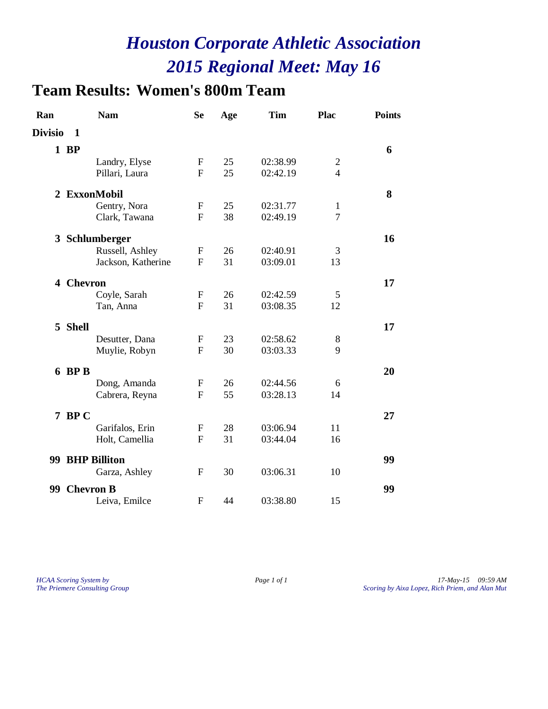# **Team Results: Women's 800m Team**

| Ran            | <b>Nam</b>         | <b>Se</b>    | Age | <b>Tim</b> | Plac           | <b>Points</b> |
|----------------|--------------------|--------------|-----|------------|----------------|---------------|
| <b>Divisio</b> | 1                  |              |     |            |                |               |
|                | $1$ BP             |              |     |            |                | 6             |
|                | Landry, Elyse      | F            | 25  | 02:38.99   | $\overline{2}$ |               |
|                | Pillari, Laura     | $\mathbf F$  | 25  | 02:42.19   | $\overline{4}$ |               |
|                | 2 ExxonMobil       |              |     |            |                | 8             |
|                | Gentry, Nora       | F            | 25  | 02:31.77   | 1              |               |
|                | Clark, Tawana      | $\mathbf F$  | 38  | 02:49.19   | $\overline{7}$ |               |
|                | 3 Schlumberger     |              |     |            |                | 16            |
|                | Russell, Ashley    | F            | 26  | 02:40.91   | 3              |               |
|                | Jackson, Katherine | F            | 31  | 03:09.01   | 13             |               |
|                | 4 Chevron          |              |     |            |                | 17            |
|                | Coyle, Sarah       | $\mathbf F$  | 26  | 02:42.59   | 5              |               |
|                | Tan, Anna          | $\mathbf{F}$ | 31  | 03:08.35   | 12             |               |
|                | 5 Shell            |              |     |            |                | 17            |
|                | Desutter, Dana     | F            | 23  | 02:58.62   | 8              |               |
|                | Muylie, Robyn      | $\mathbf{F}$ | 30  | 03:03.33   | 9              |               |
|                | 6 BP B             |              |     |            |                | 20            |
|                | Dong, Amanda       | $\mathbf{F}$ | 26  | 02:44.56   | 6              |               |
|                | Cabrera, Reyna     | $\mathbf{F}$ | 55  | 03:28.13   | 14             |               |
|                | 7 BPC              |              |     |            |                | 27            |
|                | Garifalos, Erin    | F            | 28  | 03:06.94   | 11             |               |
|                | Holt, Camellia     | $\mathbf{F}$ | 31  | 03:44.04   | 16             |               |
|                | 99 BHP Billiton    |              |     |            |                | 99            |
|                | Garza, Ashley      | F            | 30  | 03:06.31   | 10             |               |
|                | 99 Chevron B       |              |     |            |                | 99            |
|                | Leiva, Emilce      | F            | 44  | 03:38.80   | 15             |               |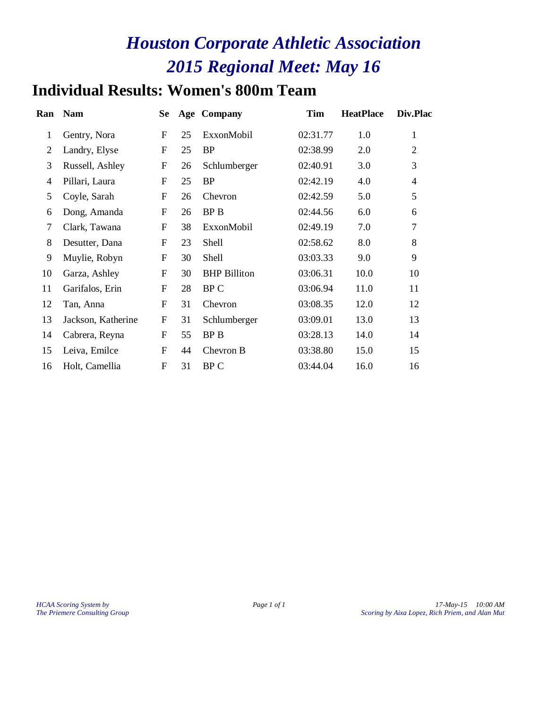# **Individual Results: Women's 800m Team**

| Ran            | <b>Nam</b>         | <b>Se</b>        |    | <b>Age Company</b>  | <b>Tim</b> | <b>HeatPlace</b> | Div.Plac       |
|----------------|--------------------|------------------|----|---------------------|------------|------------------|----------------|
| $\mathbf{1}$   | Gentry, Nora       | ${\bf F}$        | 25 | ExxonMobil          | 02:31.77   | 1.0              | $\mathbf{1}$   |
| $\overline{2}$ | Landry, Elyse      | $\boldsymbol{F}$ | 25 | <b>BP</b>           | 02:38.99   | 2.0              | $\overline{2}$ |
| 3              | Russell, Ashley    | ${\bf F}$        | 26 | Schlumberger        | 02:40.91   | 3.0              | 3              |
| $\overline{4}$ | Pillari, Laura     | F                | 25 | <b>BP</b>           | 02:42.19   | 4.0              | $\overline{4}$ |
| 5              | Coyle, Sarah       | $\boldsymbol{F}$ | 26 | Chevron             | 02:42.59   | 5.0              | 5              |
| 6              | Dong, Amanda       | ${\bf F}$        | 26 | <b>BP</b> B         | 02:44.56   | 6.0              | 6              |
| 7              | Clark, Tawana      | ${\bf F}$        | 38 | ExxonMobil          | 02:49.19   | 7.0              | $\tau$         |
| 8              | Desutter, Dana     | F                | 23 | Shell               | 02:58.62   | 8.0              | 8              |
| 9              | Muylie, Robyn      | F                | 30 | Shell               | 03:03.33   | 9.0              | 9              |
| 10             | Garza, Ashley      | $\boldsymbol{F}$ | 30 | <b>BHP</b> Billiton | 03:06.31   | 10.0             | 10             |
| 11             | Garifalos, Erin    | $\boldsymbol{F}$ | 28 | BP C                | 03:06.94   | 11.0             | 11             |
| 12             | Tan, Anna          | F                | 31 | Chevron             | 03:08.35   | 12.0             | 12             |
| 13             | Jackson, Katherine | ${\bf F}$        | 31 | Schlumberger        | 03:09.01   | 13.0             | 13             |
| 14             | Cabrera, Reyna     | F                | 55 | <b>BPB</b>          | 03:28.13   | 14.0             | 14             |
| 15             | Leiva, Emilce      | $\boldsymbol{F}$ | 44 | Chevron B           | 03:38.80   | 15.0             | 15             |
| 16             | Holt, Camellia     | $\boldsymbol{F}$ | 31 | BP C                | 03:44.04   | 16.0             | 16             |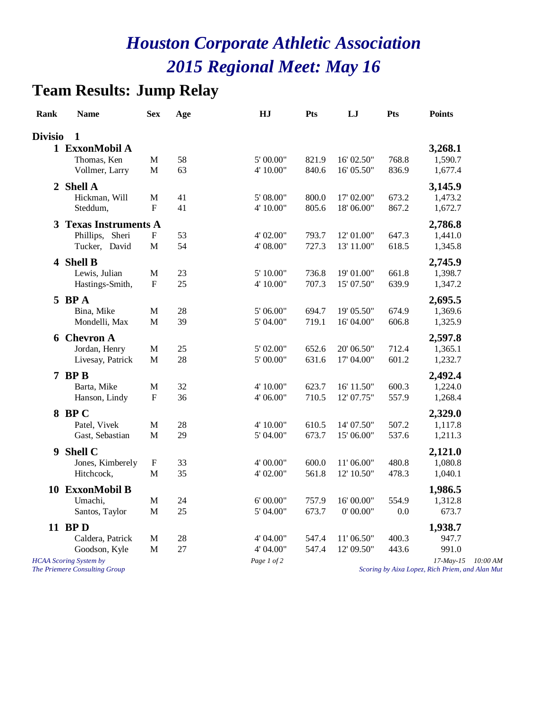## **Team Results: Jump Relay**

| <b>Rank</b>    | <b>Name</b>                                                                  | <b>Sex</b>                  | Age      | HJ                                    | <b>Pts</b>     | LJ                           | <b>Pts</b>     | <b>Points</b>                                            |
|----------------|------------------------------------------------------------------------------|-----------------------------|----------|---------------------------------------|----------------|------------------------------|----------------|----------------------------------------------------------|
| <b>Divisio</b> | 1                                                                            |                             |          |                                       |                |                              |                |                                                          |
|                | 1 ExxonMobil A<br>Thomas, Ken<br>Vollmer, Larry                              | $\mathbf M$<br>$\mathbf{M}$ | 58<br>63 | $5^{\circ}$ 00.00"<br>4' 10.00"       | 821.9<br>840.6 | 16' 02.50"<br>16' 05.50"     | 768.8<br>836.9 | 3,268.1<br>1,590.7<br>1,677.4                            |
| $\overline{2}$ | <b>Shell A</b><br>Hickman, Will<br>Steddum,                                  | M<br>$\mathbf{F}$           | 41<br>41 | 5' 08.00"<br>4' 10.00"                | 800.0<br>805.6 | 17' 02.00"<br>18' 06.00"     | 673.2<br>867.2 | 3,145.9<br>1,473.2<br>1,672.7                            |
| 3              | <b>Texas Instruments A</b><br>Phillips, Sheri<br>Tucker, David               | F<br>M                      | 53<br>54 | 4' 02.00"<br>4' 08.00"                | 793.7<br>727.3 | 12' 01.00"<br>13' 11.00"     | 647.3<br>618.5 | 2,786.8<br>1,441.0<br>1,345.8                            |
|                | 4 Shell B<br>Lewis, Julian<br>Hastings-Smith,                                | $\mathbf M$<br>$\mathbf F$  | 23<br>25 | 5' 10.00"<br>4' 10.00"                | 736.8<br>707.3 | 19' 01.00"<br>15' 07.50"     | 661.8<br>639.9 | 2,745.9<br>1,398.7<br>1,347.2                            |
|                | $5$ BPA<br>Bina, Mike<br>Mondelli, Max                                       | $\mathbf M$<br>M            | 28<br>39 | 5' 06.00"<br>5' 04.00"                | 694.7<br>719.1 | 19' 05.50"<br>16' 04.00"     | 674.9<br>606.8 | 2,695.5<br>1,369.6<br>1,325.9                            |
|                | <b>6 Chevron A</b><br>Jordan, Henry<br>Livesay, Patrick                      | M<br>$\mathbf M$            | 25<br>28 | 5' 02.00"<br>5' 00.00"                | 652.6<br>631.6 | 20' 06.50"<br>17' 04.00"     | 712.4<br>601.2 | 2,597.8<br>1,365.1<br>1,232.7                            |
|                | $7$ BP B<br>Barta, Mike<br>Hanson, Lindy                                     | M<br>$\mathbf F$            | 32<br>36 | 4' 10.00"<br>4' 06.00"                | 623.7<br>710.5 | $16'$ $11.50"$<br>12' 07.75" | 600.3<br>557.9 | 2,492.4<br>1,224.0<br>1,268.4                            |
|                | 8 BP C<br>Patel, Vivek<br>Gast, Sebastian                                    | M<br>M                      | 28<br>29 | 4' 10.00"<br>5' 04.00"                | 610.5<br>673.7 | 14' 07.50"<br>15' 06.00"     | 507.2<br>537.6 | 2,329.0<br>1,117.8<br>1,211.3                            |
| 9              | Shell C<br>Jones, Kimberely<br>Hitchcock,                                    | $\mathbf F$<br>M            | 33<br>35 | 4' 00.00"<br>4' 02.00"                | 600.0<br>561.8 | 11' 06.00"<br>12' 10.50"     | 480.8<br>478.3 | 2,121.0<br>1,080.8<br>1,040.1                            |
|                | 10 ExxonMobil B<br>Umachi,<br>Santos, Taylor                                 | $\mathbf M$<br>$\mathbf M$  | 24<br>25 | 6' 00.00"<br>5' 04.00"                | 757.9<br>673.7 | 16' 00.00"<br>0' 00.00"      | 554.9<br>0.0   | 1,986.5<br>1,312.8<br>673.7                              |
|                | 11 BPD<br>Caldera, Patrick<br>Goodson, Kyle<br><b>HCAA</b> Scoring System by | $\mathbf M$<br>$\mathbf M$  | 28<br>27 | 4' 04.00"<br>4' 04.00"<br>Page 1 of 2 | 547.4<br>547.4 | 11' 06.50"<br>12' 09.50"     | 400.3<br>443.6 | 1,938.7<br>947.7<br>991.0<br>$17$ -May- $15$<br>10:00 AM |
|                | The Priemere Consulting Group                                                |                             |          |                                       |                |                              |                | Scoring by Aixa Lopez, Rich Priem, and Alan Mut          |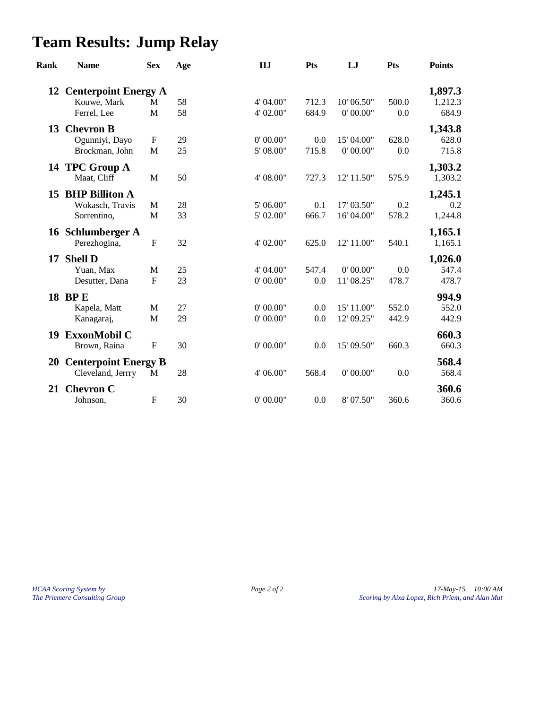# **Team Results: Jump Relay**

| <b>Rank</b> | <b>Name</b>                                      | <b>Sex</b>                | Age | HJ        | <b>Pts</b> | LJ         | Pts   | <b>Points</b>      |
|-------------|--------------------------------------------------|---------------------------|-----|-----------|------------|------------|-------|--------------------|
| 12          | <b>Centerpoint Energy A</b><br>Kouwe, Mark       | M                         | 58  | 4' 04.00" | 712.3      | 10' 06.50" | 500.0 | 1,897.3<br>1,212.3 |
|             | Ferrel, Lee                                      | M                         | 58  | 4' 02.00" | 684.9      | 0' 00.00"  | 0.0   | 684.9              |
| 13          | <b>Chevron B</b>                                 |                           |     |           |            |            |       | 1,343.8            |
|             | Ogunniyi, Dayo                                   | F                         | 29  | 0' 00.00" | 0.0        | 15' 04.00" | 628.0 | 628.0              |
|             | Brockman, John                                   | M                         | 25  | 5' 08.00" | 715.8      | 0' 00.00"  | 0.0   | 715.8              |
|             | 14 TPC Group A<br>Maat, Cliff                    | M                         | 50  | 4' 08.00" | 727.3      | 12' 11.50" | 575.9 | 1,303.2<br>1,303.2 |
| 15          | <b>BHP Billiton A</b>                            |                           |     |           |            |            |       | 1,245.1            |
|             | Wokasch, Travis                                  | M                         | 28  | 5' 06.00" | 0.1        | 17' 03.50" | 0.2   | 0.2                |
|             | Sorrentino,                                      | M                         | 33  | 5' 02.00" | 666.7      | 16' 04.00" | 578.2 | 1,244.8            |
|             | 16 Schlumberger A<br>Perezhogina,                | $\boldsymbol{\mathrm{F}}$ | 32  | 4' 02.00" | 625.0      | 12' 11.00" | 540.1 | 1,165.1<br>1,165.1 |
| 17          | <b>Shell D</b>                                   |                           |     |           |            |            |       | 1,026.0            |
|             | Yuan, Max                                        | M                         | 25  | 4' 04.00" | 547.4      | 0' 00.00"  | 0.0   | 547.4              |
|             | Desutter, Dana                                   | $\mathbf F$               | 23  | 0' 00.00" | 0.0        | 11' 08.25" | 478.7 | 478.7              |
|             | 18 BPE                                           |                           |     |           |            |            |       | 994.9              |
|             | Kapela, Matt                                     | M                         | 27  | 0' 00.00" | 0.0        | 15' 11.00" | 552.0 | 552.0              |
|             | Kanagaraj,                                       | M                         | 29  | 0' 00.00" | 0.0        | 12' 09.25" | 442.9 | 442.9              |
| 19          | <b>ExxonMobil C</b><br>Brown, Raina              | $\boldsymbol{\mathrm{F}}$ | 30  | 0' 00.00" | 0.0        | 15' 09.50" | 660.3 | 660.3<br>660.3     |
|             |                                                  |                           |     |           |            |            |       |                    |
| <b>20</b>   | <b>Centerpoint Energy B</b><br>Cleveland, Jerrry | M                         | 28  | 4' 06.00" | 568.4      | 0' 00.00"  | 0.0   | 568.4<br>568.4     |
| 21          | <b>Chevron C</b>                                 |                           |     |           |            |            |       | 360.6              |
|             | Johnson,                                         | $\boldsymbol{\mathrm{F}}$ | 30  | 0' 00.00" | 0.0        | 8' 07.50"  | 360.6 | 360.6              |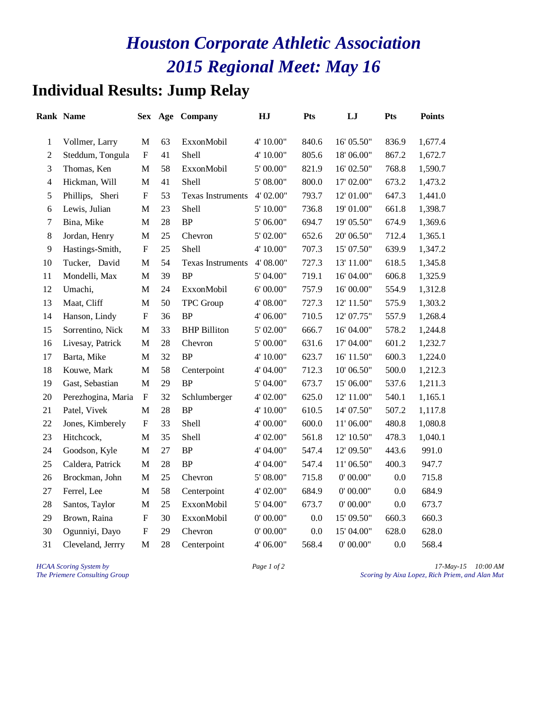## **Individual Results: Jump Relay**

|                | <b>Rank Name</b>   | <b>Sex</b>                |    | Age Company              | HJ        | <b>Pts</b> | LJ         | Pts   | <b>Points</b> |
|----------------|--------------------|---------------------------|----|--------------------------|-----------|------------|------------|-------|---------------|
| $\mathbf{1}$   | Vollmer, Larry     | M                         | 63 | ExxonMobil               | 4' 10.00" | 840.6      | 16' 05.50" | 836.9 | 1,677.4       |
| $\sqrt{2}$     | Steddum, Tongula   | ${\bf F}$                 | 41 | Shell                    | 4' 10.00" | 805.6      | 18' 06.00" | 867.2 | 1,672.7       |
| 3              | Thomas, Ken        | $\mathbf M$               | 58 | ExxonMobil               | 5' 00.00" | 821.9      | 16' 02.50" | 768.8 | 1,590.7       |
| $\overline{4}$ | Hickman, Will      | $\mathbf M$               | 41 | Shell                    | 5' 08.00" | 800.0      | 17' 02.00" | 673.2 | 1,473.2       |
| $\sqrt{5}$     | Phillips, Sheri    | $\boldsymbol{\mathrm{F}}$ | 53 | <b>Texas Instruments</b> | 4' 02.00" | 793.7      | 12' 01.00" | 647.3 | 1,441.0       |
| 6              | Lewis, Julian      | M                         | 23 | Shell                    | 5' 10.00" | 736.8      | 19' 01.00" | 661.8 | 1,398.7       |
| $\tau$         | Bina, Mike         | M                         | 28 | BP                       | 5' 06.00" | 694.7      | 19' 05.50" | 674.9 | 1,369.6       |
| $8\,$          | Jordan, Henry      | M                         | 25 | Chevron                  | 5' 02.00" | 652.6      | 20' 06.50" | 712.4 | 1,365.1       |
| 9              | Hastings-Smith,    | ${\bf F}$                 | 25 | Shell                    | 4' 10.00" | 707.3      | 15' 07.50" | 639.9 | 1,347.2       |
| 10             | Tucker, David      | M                         | 54 | Texas Instruments        | 4' 08.00" | 727.3      | 13' 11.00" | 618.5 | 1,345.8       |
| 11             | Mondelli, Max      | $\mathbf M$               | 39 | BP                       | 5' 04.00" | 719.1      | 16' 04.00" | 606.8 | 1,325.9       |
| 12             | Umachi,            | $\mathbf M$               | 24 | ExxonMobil               | 6' 00.00" | 757.9      | 16' 00.00" | 554.9 | 1,312.8       |
| 13             | Maat, Cliff        | $\mathbf{M}$              | 50 | TPC Group                | 4' 08.00" | 727.3      | 12' 11.50" | 575.9 | 1,303.2       |
| 14             | Hanson, Lindy      | ${\bf F}$                 | 36 | <b>BP</b>                | 4' 06.00" | 710.5      | 12' 07.75" | 557.9 | 1,268.4       |
| 15             | Sorrentino, Nick   | M                         | 33 | <b>BHP</b> Billiton      | 5' 02.00" | 666.7      | 16' 04.00" | 578.2 | 1,244.8       |
| 16             | Livesay, Patrick   | $\mathbf M$               | 28 | Chevron                  | 5' 00.00" | 631.6      | 17' 04.00" | 601.2 | 1,232.7       |
| 17             | Barta, Mike        | M                         | 32 | <b>BP</b>                | 4' 10.00" | 623.7      | 16' 11.50" | 600.3 | 1,224.0       |
| 18             | Kouwe, Mark        | M                         | 58 | Centerpoint              | 4' 04.00" | 712.3      | 10' 06.50" | 500.0 | 1,212.3       |
| 19             | Gast, Sebastian    | $\mathbf M$               | 29 | <b>BP</b>                | 5' 04.00" | 673.7      | 15' 06.00" | 537.6 | 1,211.3       |
| 20             | Perezhogina, Maria | $\boldsymbol{\mathrm{F}}$ | 32 | Schlumberger             | 4' 02.00" | 625.0      | 12' 11.00" | 540.1 | 1,165.1       |
| 21             | Patel, Vivek       | M                         | 28 | <b>BP</b>                | 4' 10.00" | 610.5      | 14' 07.50" | 507.2 | 1,117.8       |
| 22             | Jones, Kimberely   | $\boldsymbol{\mathrm{F}}$ | 33 | Shell                    | 4' 00.00" | 600.0      | 11' 06.00" | 480.8 | 1,080.8       |
| 23             | Hitchcock,         | M                         | 35 | Shell                    | 4' 02.00" | 561.8      | 12' 10.50" | 478.3 | 1,040.1       |
| 24             | Goodson, Kyle      | $\mathbf M$               | 27 | BP                       | 4' 04.00" | 547.4      | 12' 09.50" | 443.6 | 991.0         |
| 25             | Caldera, Patrick   | M                         | 28 | <b>BP</b>                | 4' 04.00" | 547.4      | 11' 06.50" | 400.3 | 947.7         |
| 26             | Brockman, John     | M                         | 25 | Chevron                  | 5' 08.00" | 715.8      | 0' 00.00"  | 0.0   | 715.8         |
| 27             | Ferrel, Lee        | $\mathbf M$               | 58 | Centerpoint              | 4' 02.00" | 684.9      | 0' 00.00"  | 0.0   | 684.9         |
| 28             | Santos, Taylor     | M                         | 25 | ExxonMobil               | 5'04.00"  | 673.7      | 0' 00.00"  | 0.0   | 673.7         |
| 29             | Brown, Raina       | ${\bf F}$                 | 30 | ExxonMobil               | 0' 00.00" | 0.0        | 15' 09.50" | 660.3 | 660.3         |
| 30             | Ogunniyi, Dayo     | $_{\rm F}$                | 29 | Chevron                  | 0' 00.00" | 0.0        | 15' 04.00" | 628.0 | 628.0         |
| 31             | Cleveland, Jerrry  | M                         | 28 | Centerpoint              | 4' 06.00" | 568.4      | 0' 00.00"  | 0.0   | 568.4         |

*HCAA Scoring System by Page 1 of 2 Page 1 of 2 17-May-15 10:00 AM*<br>*Page 1 of 2 Scoring by Aixa Lopez, Rich Priem, and Alan Mut The Priemere Consulting Group Scoring by Aixa Lopez, Rich Priem, and Alan Mut*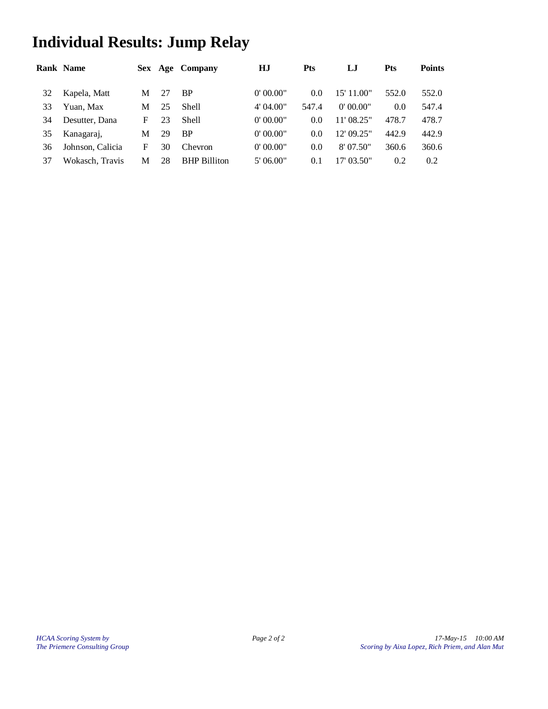# **Individual Results: Jump Relay**

|    | <b>Rank Name</b> |   |    | Sex Age Company     | НJ        | <b>Pts</b> | LJ         | Pts   | <b>Points</b> |
|----|------------------|---|----|---------------------|-----------|------------|------------|-------|---------------|
| 32 | Kapela, Matt     | М | 27 | BP                  | 0'00.00"  | 0.0        | 15' 11.00" | 552.0 | 552.0         |
| 33 | Yuan, Max        | М | 25 | Shell               | 4' 04.00" | 547.4      | 0'00.00"   | 0.0   | 547.4         |
| 34 | Desutter, Dana   | F | 23 | Shell               | 0'00.00"  | 0.0        | 11' 08.25" | 478.7 | 478.7         |
| 35 | Kanagaraj,       | М | 29 | BP                  | 0'00.00"  | 0.0        | 12' 09.25" | 442.9 | 442.9         |
| 36 | Johnson. Calicia | F | 30 | Chevron             | 0'00.00"  | 0.0        | 8'07.50"   | 360.6 | 360.6         |
| 37 | Wokasch, Travis  | М | 28 | <b>BHP Billiton</b> | 5' 06.00" | 0.1        | 17' 03.50" | 0.2   | 0.2           |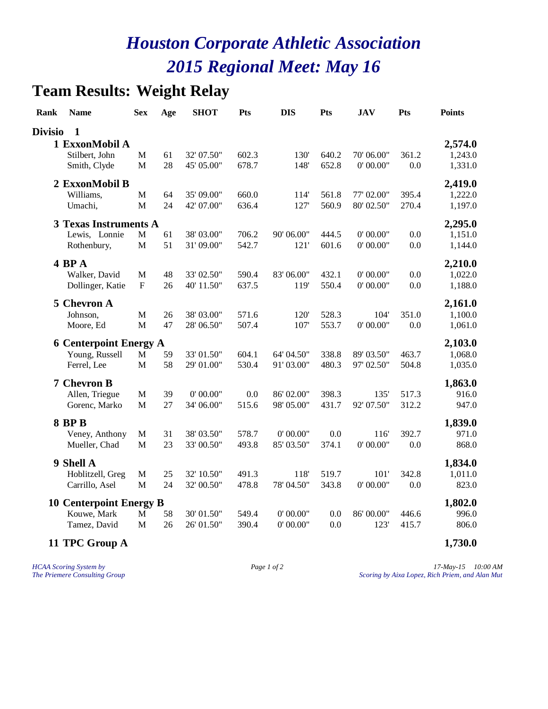## **Team Results: Weight Relay**

| Rank           | <b>Name</b>                    | <b>Sex</b>                | Age | <b>SHOT</b> | Pts   | <b>DIS</b> | Pts   | <b>JAV</b> | Pts   | <b>Points</b> |
|----------------|--------------------------------|---------------------------|-----|-------------|-------|------------|-------|------------|-------|---------------|
| <b>Divisio</b> | $\mathbf{1}$                   |                           |     |             |       |            |       |            |       |               |
|                | 1 ExxonMobil A                 |                           |     |             |       |            |       |            |       | 2,574.0       |
|                | Stilbert, John                 | M                         | 61  | 32' 07.50"  | 602.3 | 130'       | 640.2 | 70' 06.00" | 361.2 | 1,243.0       |
|                | Smith, Clyde                   | $\mathbf M$               | 28  | 45' 05.00"  | 678.7 | 148'       | 652.8 | 0' 00.00"  | 0.0   | 1,331.0       |
|                | 2 ExxonMobil B                 |                           |     |             |       |            |       |            |       | 2,419.0       |
|                | Williams,                      | $\mathbf M$               | 64  | 35' 09.00"  | 660.0 | 114'       | 561.8 | 77' 02.00" | 395.4 | 1,222.0       |
|                | Umachi,                        | M                         | 24  | 42' 07.00"  | 636.4 | 127'       | 560.9 | 80' 02.50" | 270.4 | 1,197.0       |
|                | <b>3 Texas Instruments A</b>   |                           |     |             |       |            |       |            |       | 2,295.0       |
|                | Lewis, Lonnie                  | $\mathbf M$               | 61  | 38' 03.00"  | 706.2 | 90' 06.00" | 444.5 | 0' 00.00"  | 0.0   | 1,151.0       |
|                | Rothenbury,                    | $\mathbf M$               | 51  | 31'09.00"   | 542.7 | 121'       | 601.6 | 0' 00.00"  | 0.0   | 1,144.0       |
|                | 4 BP A                         |                           |     |             |       |            |       |            |       | 2,210.0       |
|                | Walker, David                  | $\mathbf M$               | 48  | 33' 02.50"  | 590.4 | 83' 06.00" | 432.1 | 0' 00.00"  | 0.0   | 1,022.0       |
|                | Dollinger, Katie               | $\boldsymbol{\mathrm{F}}$ | 26  | 40' 11.50"  | 637.5 | 119'       | 550.4 | 0' 00.00"  | 0.0   | 1,188.0       |
| 5              | <b>Chevron A</b>               |                           |     |             |       |            |       |            |       | 2,161.0       |
|                | Johnson,                       | $\mathbf M$               | 26  | 38' 03.00"  | 571.6 | 120'       | 528.3 | 104'       | 351.0 | 1,100.0       |
|                | Moore, Ed                      | $\mathbf M$               | 47  | 28' 06.50"  | 507.4 | 107'       | 553.7 | 0' 00.00"  | 0.0   | 1,061.0       |
|                | <b>6 Centerpoint Energy A</b>  |                           |     |             |       |            |       |            |       | 2,103.0       |
|                | Young, Russell                 | $\mathbf M$               | 59  | 33' 01.50"  | 604.1 | 64' 04.50" | 338.8 | 89' 03.50" | 463.7 | 1,068.0       |
|                | Ferrel, Lee                    | $\mathbf M$               | 58  | 29' 01.00"  | 530.4 | 91'03.00"  | 480.3 | 97' 02.50" | 504.8 | 1,035.0       |
|                | <b>7 Chevron B</b>             |                           |     |             |       |            |       |            |       | 1,863.0       |
|                | Allen, Triegue                 | $\mathbf M$               | 39  | 0' 00.00"   | 0.0   | 86' 02.00" | 398.3 | 135'       | 517.3 | 916.0         |
|                | Gorenc, Marko                  | $\mathbf M$               | 27  | 34' 06.00"  | 515.6 | 98' 05.00" | 431.7 | 92' 07.50" | 312.2 | 947.0         |
|                | <b>8 BP B</b>                  |                           |     |             |       |            |       |            |       | 1,839.0       |
|                | Veney, Anthony                 | M                         | 31  | 38' 03.50"  | 578.7 | 0' 00.00"  | 0.0   | 116        | 392.7 | 971.0         |
|                | Mueller, Chad                  | $\mathbf M$               | 23  | 33' 00.50"  | 493.8 | 85' 03.50" | 374.1 | 0' 00.00"  | 0.0   | 868.0         |
|                | 9 Shell A                      |                           |     |             |       |            |       |            |       | 1,834.0       |
|                | Hoblitzell, Greg               | $\mathbf M$               | 25  | 32' 10.50"  | 491.3 | 118'       | 519.7 | 101'       | 342.8 | 1,011.0       |
|                | Carrillo, Asel                 | $\mathbf M$               | 24  | 32' 00.50"  | 478.8 | 78' 04.50" | 343.8 | 0' 00.00"  | 0.0   | 823.0         |
|                | <b>10 Centerpoint Energy B</b> |                           |     |             |       |            |       |            |       | 1,802.0       |
|                | Kouwe, Mark                    | M                         | 58  | 30' 01.50"  | 549.4 | 0' 00.00"  | 0.0   | 86' 00.00" | 446.6 | 996.0         |
|                | Tamez, David                   | $\mathbf M$               | 26  | 26' 01.50"  | 390.4 | 0' 00.00"  | 0.0   | 123'       | 415.7 | 806.0         |
|                | 11 TPC Group A                 |                           |     |             |       |            |       |            |       | 1,730.0       |

*HCAA Scoring System by Page 1 of 2 Page 1 of 2 17-May-15 10:00 AM*<br>*Page 1 of 2 Scoring by Aixa Lopez, Rich Priem, and Alan Mut The Priemere Consulting Group Scoring by Aixa Lopez, Rich Priem, and Alan Mut*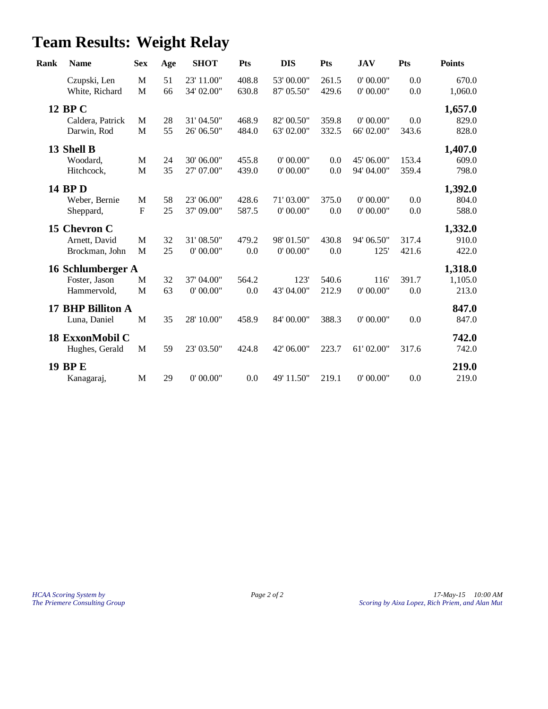# **Team Results: Weight Relay**

| Rank | <b>Name</b>       | <b>Sex</b>   | Age | <b>SHOT</b> | <b>Pts</b> | <b>DIS</b> | <b>Pts</b> | <b>JAV</b> | Pts   | <b>Points</b> |
|------|-------------------|--------------|-----|-------------|------------|------------|------------|------------|-------|---------------|
|      | Czupski, Len      | $\mathbf M$  | 51  | 23' 11.00"  | 408.8      | 53' 00.00" | 261.5      | 0' 00.00"  | 0.0   | 670.0         |
|      | White, Richard    | M            | 66  | 34' 02.00"  | 630.8      | 87' 05.50" | 429.6      | 0' 00.00"  | 0.0   | 1,060.0       |
|      | 12 BP C           |              |     |             |            |            |            |            |       | 1,657.0       |
|      | Caldera, Patrick  | M            | 28  | 31' 04.50"  | 468.9      | 82' 00.50" | 359.8      | 0' 00.00"  | 0.0   | 829.0         |
|      | Darwin, Rod       | M            | 55  | 26' 06.50"  | 484.0      | 63' 02.00" | 332.5      | 66' 02.00" | 343.6 | 828.0         |
|      | 13 Shell B        |              |     |             |            |            |            |            |       | 1,407.0       |
|      | Woodard,          | $\mathbf M$  | 24  | 30' 06.00"  | 455.8      | 0' 00.00"  | 0.0        | 45' 06.00" | 153.4 | 609.0         |
|      | Hitchcock,        | $\mathbf M$  | 35  | 27' 07.00"  | 439.0      | 0' 00.00"  | 0.0        | 94' 04.00" | 359.4 | 798.0         |
|      | <b>14 BPD</b>     |              |     |             |            |            |            |            |       | 1,392.0       |
|      | Weber, Bernie     | M            | 58  | 23' 06.00"  | 428.6      | 71'03.00"  | 375.0      | 0' 00.00"  | 0.0   | 804.0         |
|      | Sheppard,         | $\mathbf{F}$ | 25  | 37' 09.00"  | 587.5      | 0' 00.00"  | 0.0        | 0' 00.00"  | 0.0   | 588.0         |
|      | 15 Chevron C      |              |     |             |            |            |            |            |       | 1,332.0       |
|      | Arnett, David     | M            | 32  | 31' 08.50"  | 479.2      | 98' 01.50" | 430.8      | 94' 06.50" | 317.4 | 910.0         |
|      | Brockman, John    | M            | 25  | 0' 00.00"   | 0.0        | 0' 00.00"  | 0.0        | 125'       | 421.6 | 422.0         |
|      | 16 Schlumberger A |              |     |             |            |            |            |            |       | 1,318.0       |
|      | Foster, Jason     | M            | 32  | 37' 04.00"  | 564.2      | 123'       | 540.6      | 116        | 391.7 | 1,105.0       |
|      | Hammervold,       | M            | 63  | 0' 00.00"   | 0.0        | 43' 04.00" | 212.9      | 0' 00.00"  | 0.0   | 213.0         |
|      | 17 BHP Billiton A |              |     |             |            |            |            |            |       | 847.0         |
|      | Luna, Daniel      | $\mathbf M$  | 35  | 28' 10.00"  | 458.9      | 84' 00.00" | 388.3      | 0' 00.00"  | 0.0   | 847.0         |
|      | 18 ExxonMobil C   |              |     |             |            |            |            |            |       | 742.0         |
|      | Hughes, Gerald    | M            | 59  | 23' 03.50"  | 424.8      | 42' 06.00" | 223.7      | 61'02.00"  | 317.6 | 742.0         |
|      | <b>19 BP E</b>    |              |     |             |            |            |            |            |       | 219.0         |
|      | Kanagaraj,        | M            | 29  | 0' 00.00"   | 0.0        | 49' 11.50" | 219.1      | 0' 00.00"  | 0.0   | 219.0         |